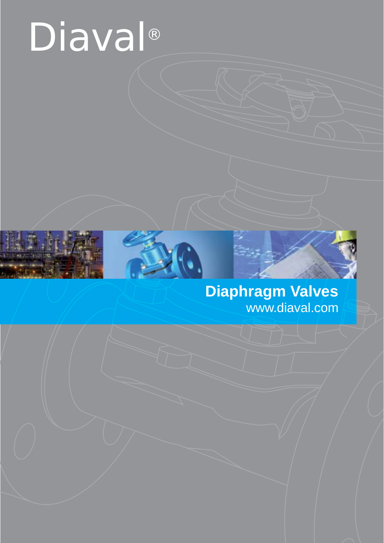# Diaval®



# **Diaphragm Valves** www.diaval.com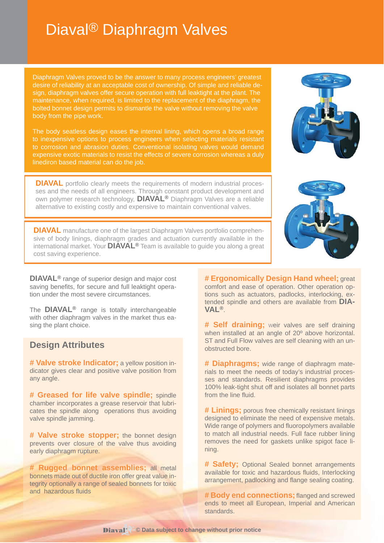# Diaval® Diaphragm Valves

Diaphragm Valves proved to be the answer to many process engineers' greatest desire of reliability at an acceptable cost of ownership. Of simple and reliable design, diaphragm valves offer secure operation with full leaktight at the plant. The maintenance, when required, is limited to the replacement of the diaphragm, the bolted bonnet design permits to dismantle the valve without removing the valve body from the pipe work.

The body seatless design eases the internal lining, which opens a broad range to inexpensive options to process engineers when selecting materials resistant to corrosion and abrasion duties. Conventional isolating valves would demand expensive exotic materials to resist the effects of severe corrosion whereas a duly linediron based material can do the job.

**DIAVAL** portfolio clearly meets the requirements of modern industrial processes and the needs of all engineers. Through constant product development and own polymer research technology, **DIAVAL®** Diaphragm Valves are a reliable alternative to existing costly and expensive to maintain conventional valves.

**DIAVAL** manufacture one of the largest Diaphragm Valves portfolio comprehensive of body linings, diaphragm grades and actuation currently available in the international market. Your **DIAVAL®** Team is available to guide you along a great cost saving experience.

**DIAVAL<sup>®</sup>** range of superior design and major cost saving benefits, for secure and full leaktight operation under the most severe circumstances.

The **DIAVAL®** range is totally interchangeable with other diaphragm valves in the market thus easing the plant choice.

#### **Design Attributes**

**# Valve stroke Indicator;** a yellow position indicator gives clear and positive valve position from any angle.

**# Greased for life valve spindle;** spindle chamber incorporates a grease reservoir that lubricates the spindle along operations thus avoiding valve spindle jamming.

**# Valve stroke stopper;** the bonnet design prevents over closure of the valve thus avoiding early diaphragm rupture.

**# Rugged bonnet assemblies;** all metal bonnets made out of ductile iron offer great value integrity optionally a range of sealed bonnets for toxic and hazardous fluids

**# Ergonomically Design Hand wheel;** great comfort and ease of operation. Other operation options such as actuators, padlocks, interlocking, extended spindle and others are available from **DIA-VAL®**.

**# Self draining;** weir valves are self draining when installed at an angle of 20º above horizontal. ST and Full Flow valves are self cleaning with an unobstructed bore.

**# Diaphragms;** wide range of diaphragm materials to meet the needs of today's industrial processes and standards. Resilient diaphragms provides 100% leak-tight shut off and isolates all bonnet parts from the line fluid.

**# Linings;** porous free chemically resistant linings designed to eliminate the need of expensive metals. Wide range of polymers and fluoropolymers available to match all industrial needs. Full face rubber lining removes the need for gaskets unlike spigot face lining.

**# Safety;** Optional Sealed bonnet arrangements available for toxic and hazardous fluids, Interlocking arrangement, padlocking and flange sealing coating.

**# Body end connections;** flanged and screwed ends to meet all European, Imperial and American standards.



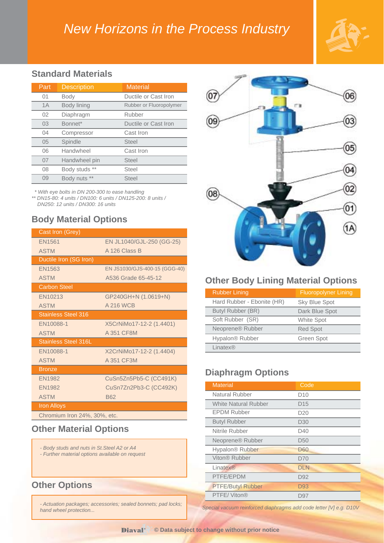# *New Horizons in the Process Industry*



#### **Standard Materials**

| Part | <b>Description</b> | <b>Material</b>         |
|------|--------------------|-------------------------|
| 01   | Body               | Ductile or Cast Iron    |
| 1A   | Body lining        | Rubber or Fluoropolymer |
| 02   | Diaphragm          | Rubber                  |
| 03   | Bonnet*            | Ductile or Cast Iron    |
| 04   | Compressor         | Cast Iron               |
| 05   | Spindle            | <b>Steel</b>            |
| 06   | Handwheel          | Cast Iron               |
| 07   | Handwheel pin      | Steel                   |
| 08   | Body studs **      | Steel                   |
| 09   | Body nuts **       | <b>Steel</b>            |

 *\* With eye bolts in DN 200-300 to ease handling \*\* DN15-80: 4 units / DN100: 6 units / DN125-200: 8 units /* 

 *DN250: 12 units / DN300: 16 units* 

#### **Body Material Options**

| Cast Iron (Grey)             |                               |
|------------------------------|-------------------------------|
| <b>EN1561</b>                | EN JL1040/GJL-250 (GG-25)     |
| <b>ASTM</b>                  | A 126 Class B                 |
| Ductile Iron (SG Iron)       |                               |
| EN1563                       | EN JS1030/GJS-400-15 (GGG-40) |
| <b>ASTM</b>                  | A536 Grade 65-45-12           |
| <b>Carbon Steel</b>          |                               |
| EN10213                      | GP240GH+N (1.0619+N)          |
| <b>ASTM</b>                  | <b>A216 WCB</b>               |
| <b>Stainless Steel 316</b>   |                               |
| EN10088-1                    | X5CrNiMo17-12-2 (1.4401)      |
| <b>ASTM</b>                  | A 351 CF8M                    |
| <b>Stainless Steel 316L</b>  |                               |
| EN10088-1                    | X2CrNiMo17-12-2 (1.4404)      |
| <b>ASTM</b>                  | A 351 CF3M                    |
| <b>Bronze</b>                |                               |
| <b>EN1982</b>                | CuSn5Zn5Pb5-C (CC491K)        |
| <b>EN1982</b>                | CuSn7Zn2Pb3-C (CC492K)        |
| <b>ASTM</b>                  | <b>B62</b>                    |
| <b>Iron Alloys</b>           |                               |
| Chromium Iron 24%, 30%, etc. |                               |

#### **Other Material Options**

- *Body studs and nuts in St.Steel A2 or A4*
- *Further material options available on request*

#### **Other Options**

*- Actuation packages; accessories; sealed bonnets; pad locks; hand wheel protection...*



#### **Other Body Lining Material Options**

| <b>Rubber Lining</b>         | <b>Fluoropolyner Lining</b> |
|------------------------------|-----------------------------|
| Hard Rubber - Ebonite (HR)   | <b>Sky Blue Spot</b>        |
| Butyl Rubber (BR)            | Dark Blue Spot              |
| Soft Rubber (SR)             | <b>White Spot</b>           |
| Neoprene <sup>®</sup> Rubber | <b>Red Spot</b>             |
| Hypalon <sup>®</sup> Rubber  | Green Spot                  |
| Linatex®                     |                             |

### **Diaphragm Options**

| <b>Material</b>              | Code            |
|------------------------------|-----------------|
| Natural Rubber               | D <sub>10</sub> |
| <b>White Natural Rubber</b>  | D <sub>15</sub> |
| <b>EPDM Rubber</b>           | D <sub>20</sub> |
| <b>Butyl Rubber</b>          | D <sub>30</sub> |
| Nitrile Rubber               | D40             |
| Neoprene <sup>®</sup> Rubber | D <sub>50</sub> |
| Hypalon <sup>®</sup> Rubber  | D60             |
| Viton® Rubber                | D70             |
| Linatex®                     | <b>DLN</b>      |
| PTFE/EPDM                    | D <sub>92</sub> |
| <b>PTFE/Butyl Rubber</b>     | D93             |
| PTFE/Viton®                  | D97             |

*Special vacuum reinforced diaphragms add code letter [V] e.g. D10V*